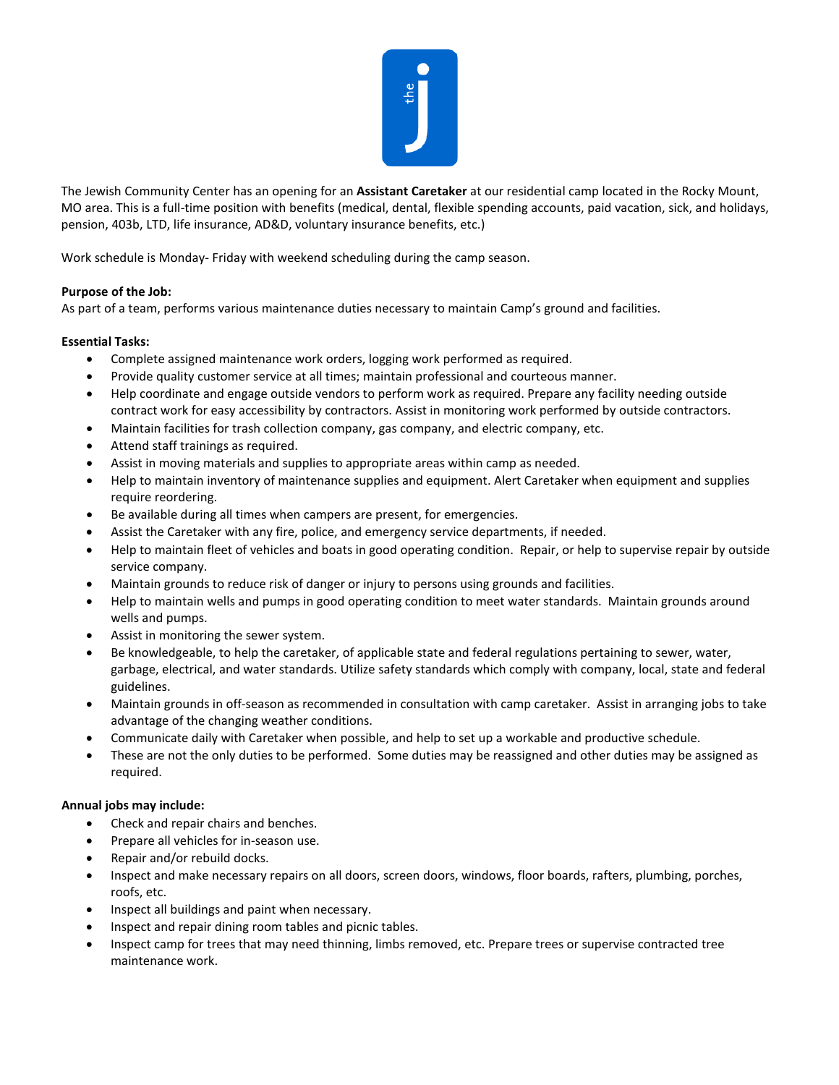

The Jewish Community Center has an opening for an **Assistant Caretaker** at our residential camp located in the Rocky Mount, MO area. This is a full-time position with benefits (medical, dental, flexible spending accounts, paid vacation, sick, and holidays, pension, 403b, LTD, life insurance, AD&D, voluntary insurance benefits, etc.)

Work schedule is Monday- Friday with weekend scheduling during the camp season.

## **Purpose of the Job:**

As part of a team, performs various maintenance duties necessary to maintain Camp's ground and facilities.

## **Essential Tasks:**

- Complete assigned maintenance work orders, logging work performed as required.
- Provide quality customer service at all times; maintain professional and courteous manner.
- Help coordinate and engage outside vendors to perform work as required. Prepare any facility needing outside contract work for easy accessibility by contractors. Assist in monitoring work performed by outside contractors.
- Maintain facilities for trash collection company, gas company, and electric company, etc.
- Attend staff trainings as required.
- Assist in moving materials and supplies to appropriate areas within camp as needed.
- Help to maintain inventory of maintenance supplies and equipment. Alert Caretaker when equipment and supplies require reordering.
- Be available during all times when campers are present, for emergencies.
- Assist the Caretaker with any fire, police, and emergency service departments, if needed.
- Help to maintain fleet of vehicles and boats in good operating condition. Repair, or help to supervise repair by outside service company.
- Maintain grounds to reduce risk of danger or injury to persons using grounds and facilities.
- Help to maintain wells and pumps in good operating condition to meet water standards. Maintain grounds around wells and pumps.
- Assist in monitoring the sewer system.
- Be knowledgeable, to help the caretaker, of applicable state and federal regulations pertaining to sewer, water, garbage, electrical, and water standards. Utilize safety standards which comply with company, local, state and federal guidelines.
- Maintain grounds in off-season as recommended in consultation with camp caretaker. Assist in arranging jobs to take advantage of the changing weather conditions.
- Communicate daily with Caretaker when possible, and help to set up a workable and productive schedule.
- These are not the only duties to be performed. Some duties may be reassigned and other duties may be assigned as required.

## **Annual jobs may include:**

- Check and repair chairs and benches.
- Prepare all vehicles for in-season use.
- Repair and/or rebuild docks.
- Inspect and make necessary repairs on all doors, screen doors, windows, floor boards, rafters, plumbing, porches, roofs, etc.
- Inspect all buildings and paint when necessary.
- Inspect and repair dining room tables and picnic tables.
- Inspect camp for trees that may need thinning, limbs removed, etc. Prepare trees or supervise contracted tree maintenance work.